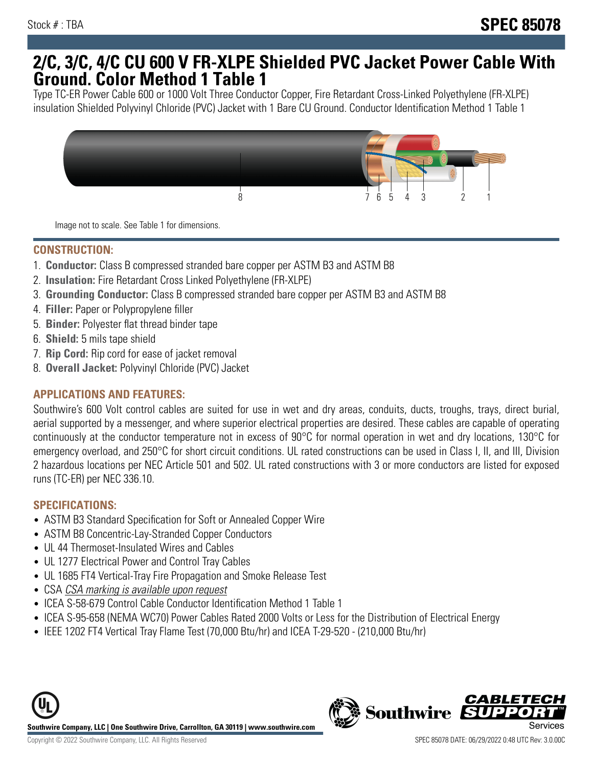## **2/C, 3/C, 4/C CU 600 V FR-XLPE Shielded PVC Jacket Power Cable With Ground. Color Method 1 Table 1**

Type TC-ER Power Cable 600 or 1000 Volt Three Conductor Copper, Fire Retardant Cross-Linked Polyethylene (FR-XLPE) insulation Shielded Polyvinyl Chloride (PVC) Jacket with 1 Bare CU Ground. Conductor Identification Method 1 Table 1



Image not to scale. See Table 1 for dimensions.

#### **CONSTRUCTION:**

- 1. **Conductor:** Class B compressed stranded bare copper per ASTM B3 and ASTM B8
- 2. **Insulation:** Fire Retardant Cross Linked Polyethylene (FR-XLPE)
- 3. **Grounding Conductor:** Class B compressed stranded bare copper per ASTM B3 and ASTM B8
- 4. **Filler:** Paper or Polypropylene filler
- 5. **Binder:** Polyester flat thread binder tape
- 6. **Shield:** 5 mils tape shield
- 7. **Rip Cord:** Rip cord for ease of jacket removal
- 8. **Overall Jacket:** Polyvinyl Chloride (PVC) Jacket

### **APPLICATIONS AND FEATURES:**

Southwire's 600 Volt control cables are suited for use in wet and dry areas, conduits, ducts, troughs, trays, direct burial, aerial supported by a messenger, and where superior electrical properties are desired. These cables are capable of operating continuously at the conductor temperature not in excess of 90°C for normal operation in wet and dry locations, 130°C for emergency overload, and 250°C for short circuit conditions. UL rated constructions can be used in Class I, II, and III, Division 2 hazardous locations per NEC Article 501 and 502. UL rated constructions with 3 or more conductors are listed for exposed runs (TC-ER) per NEC 336.10.

#### **SPECIFICATIONS:**

- ASTM B3 Standard Specification for Soft or Annealed Copper Wire
- ASTM B8 Concentric-Lay-Stranded Copper Conductors
- UL 44 Thermoset-Insulated Wires and Cables
- UL 1277 Electrical Power and Control Tray Cables
- UL 1685 FT4 Vertical-Tray Fire Propagation and Smoke Release Test
- CSA CSA marking is available upon request
- ICEA S-58-679 Control Cable Conductor Identification Method 1 Table 1
- ICEA S-95-658 (NEMA WC70) Power Cables Rated 2000 Volts or Less for the Distribution of Electrical Energy
- IEEE 1202 FT4 Vertical Tray Flame Test (70,000 Btu/hr) and ICEA T-29-520 (210,000 Btu/hr)



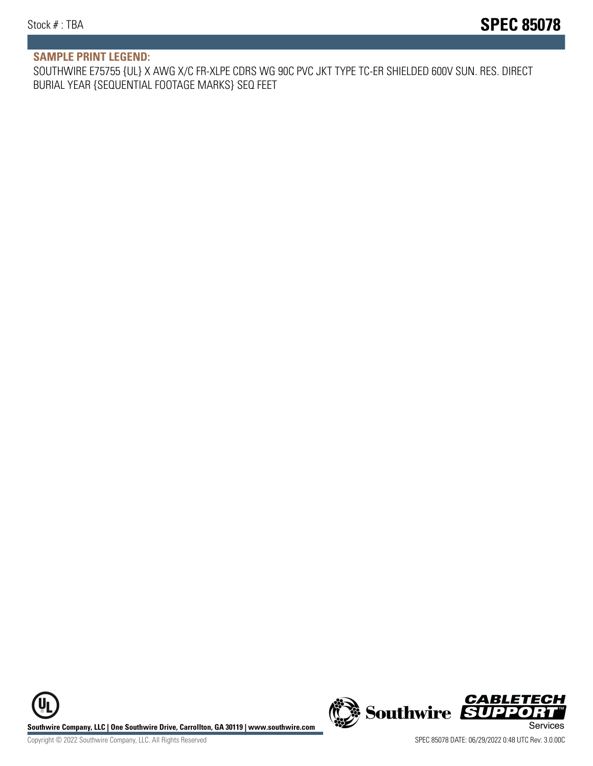#### **SAMPLE PRINT LEGEND:**

SOUTHWIRE E75755 {UL} X AWG X/C FR-XLPE CDRS WG 90C PVC JKT TYPE TC-ER SHIELDED 600V SUN. RES. DIRECT BURIAL YEAR {SEQUENTIAL FOOTAGE MARKS} SEQ FEET

UL **Southwire Company, LLC | One Southwire Drive, Carrollton, GA 30119 | www.southwire.com (New Southwire SUPPORTI**